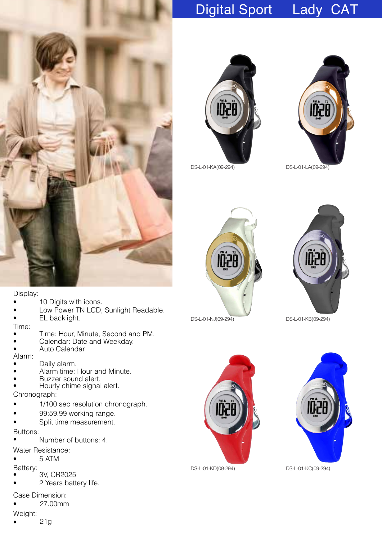## Digital Sport Lady CAT







DS-L-01-KA(09-294) DS-L-01-LA(09-294)





DS-L-01-NJ(09-294) DS-L-01-KB(09-294)



DS-L-01-KD(09-294) DS-L-01-KC(09-294)



Display:

- **10 Digits with icons.**
- Low Power TN LCD, Sunlight Readable.
- EL backlight.

Time:

- Time: Hour, Minute, Second and PM.
- Calendar: Date and Weekday.
- Auto Calendar

Alarm:

- Daily alarm.
- Alarm time: Hour and Minute.
- Buzzer sound alert.
- Hourly chime signal alert.

Chronograph:

- 1/100 sec resolution chronograph.
- 99:59.99 working range.
- Split time measurement.

Buttons:

- Number of buttons: 4.
- Water Resistance:
- 5 ATM

Batte ry:

- 3V, CR2025
- 2 Years battery life.
- Case Dimension:
- 27.00mm

Weight:

• 21g